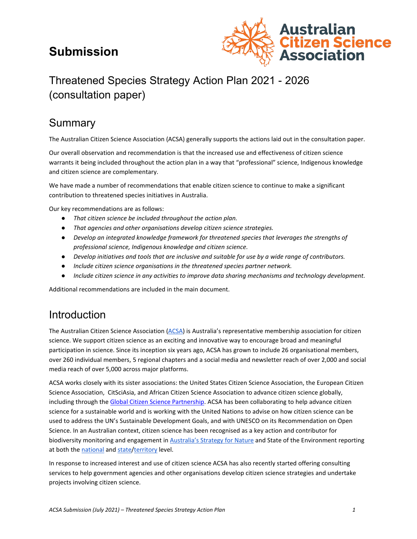# **Submission**



# Threatened Species Strategy Action Plan 2021 - 2026 (consultation paper)

# Summary

The Australian Citizen Science Association (ACSA) generally supports the actions laid out in the consultation paper.

Our overall observation and recommendation is that the increased use and effectiveness of citizen science warrants it being included throughout the action plan in a way that "professional" science, Indigenous knowledge and citizen science are complementary.

We have made a number of recommendations that enable citizen science to continue to make a significant contribution to threatened species initiatives in Australia.

Our key recommendations are as follows:

- *That citizen science be included throughout the action plan.*
- *That agencies and other organisations develop citizen science strategies.*
- *Develop an integrated knowledge framework for threatened species that leverages the strengths of professional science, Indigenous knowledge and citizen science.*
- *Develop initiatives and tools that are inclusive and suitable for use by a wide range of contributors.*
- *Include citizen science organisations in the threatened species partner network.*
- *Include citizen science in any activities to improve data sharing mechanisms and technology development.*

Additional recommendations are included in the main document.

# Introduction

The Australian Citizen Science Association [\(ACSA\)](https://citizenscience.org.au/) is Australia's representative membership association for citizen science. We support citizen science as an exciting and innovative way to encourage broad and meaningful participation in science. Since its inception six years ago, ACSA has grown to include 26 organisational members, over 260 individual members, 5 regional chapters and a social media and newsletter reach of over 2,000 and social media reach of over 5,000 across major platforms.

ACSA works closely with its sister associations: the United States Citizen Science Association, the European Citizen Science Association, CitSciAsia, and African Citizen Science Association to advance citizen science globally, including through the [Global Citizen Science Partnership.](http://citizenscienceglobal.org/) ACSA has been collaborating to help advance citizen science for a sustainable world and is working with the United Nations to advise on how citizen science can be used to address the UN's Sustainable Development Goals, and with UNESCO on its Recommendation on Open Science. In an Australian context, citizen science has been recognised as a key action and contributor for biodiversity mo[n](https://www.australiasnaturehub.gov.au/national-strategy)itoring and engagement in [Australia's Strategy for Nature](https://www.australiasnaturehub.gov.au/national-strategy) and State of the Environment reporting at both th[e](https://soe.environment.gov.au/) [national](https://soe.environment.gov.au/) an[d](https://theoryandpractice.citizenscienceassociation.org/articles/10.5334/cstp.231/) [state/](https://theoryandpractice.citizenscienceassociation.org/articles/10.5334/cstp.231/)[territory](https://www.envcomm.act.gov.au/__data/assets/pdf_file/0004/1483573/SOEsum.pdf) level.

In response to increased interest and use of citizen science ACSA has also recently started offering consulting services to help government agencies and other organisations develop citizen science strategies and undertake projects involving citizen science.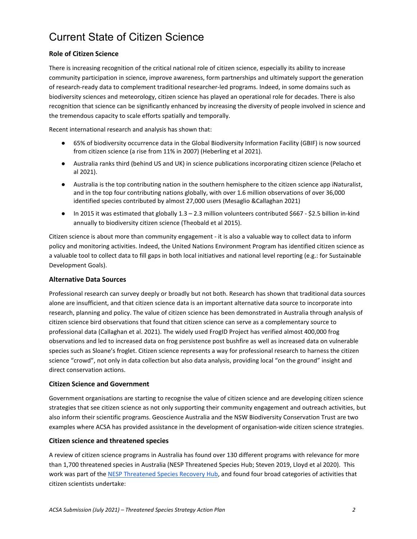# Current State of Citizen Science

### **Role of Citizen Science**

There is increasing recognition of the critical national role of citizen science, especially its ability to increase community participation in science, improve awareness, form partnerships and ultimately support the generation of research-ready data to complement traditional researcher-led programs. Indeed, in some domains such as biodiversity sciences and meteorology, citizen science has played an operational role for decades. There is also recognition that science can be significantly enhanced by increasing the diversity of people involved in science and the tremendous capacity to scale efforts spatially and temporally.

Recent international research and analysis has shown that:

- 65% of biodiversity occurrence data in the Global Biodiversity Information Facility (GBIF) is now sourced from citizen science (a rise from 11% in 2007) (Heberling et al 2021).
- Australia ranks third (behind US and UK) in science publications incorporating citizen science (Pelacho et al 2021).
- Australia is the top contributing nation in the southern hemisphere to the citizen science app iNaturalist, and in the top four contributing nations globally, with over 1.6 million observations of over 36,000 identified species contributed by almost 27,000 users (Mesaglio &Callaghan 2021)
- In 2015 it was estimated that globally 1.3 2.3 million volunteers contributed \$667 \$2.5 billion in-kind annually to biodiversity citizen science (Theobald et al 2015).

Citizen science is about more than community engagement - it is also a valuable way to collect data to inform policy and monitoring activities. Indeed, the United Nations Environment Program has identified citizen science as a valuable tool to collect data to fill gaps in both local initiatives and national level reporting (e.g.: for Sustainable Development Goals).

### **Alternative Data Sources**

Professional research can survey deeply or broadly but not both. Research has shown that traditional data sources alone are insufficient, and that citizen science data is an important alternative data source to incorporate into research, planning and policy. The value of citizen science has been demonstrated in Australia through analysis of citizen science bird observations that found that citizen science can serve as a complementary source to professional data (Callaghan et al. 2021). The widely used FrogID Project has verified almost 400,000 frog observations and led to increased data on frog persistence post bushfire as well as increased data on vulnerable species such as Sloane's froglet. Citizen science represents a way for professional research to harness the citizen science "crowd", not only in data collection but also data analysis, providing local "on the ground" insight and direct conservation actions.

#### **Citizen Science and Government**

Government organisations are starting to recognise the value of citizen science and are developing citizen science strategies that see citizen science as not only supporting their community engagement and outreach activities, but also inform their scientific programs. Geoscience Australia and the NSW Biodiversity Conservation Trust are two examples where ACSA has provided assistance in the development of organisation-wide citizen science strategies.

#### **Citizen science and threatened species**

A review of citizen science programs in Australia has found over 130 different programs with relevance for more than 1,700 threatened species in Australia (NESP Threatened Species Hub; Steven 2019, Lloyd et al 2020). This work was part of th[e NESP Threatened Species Recovery Hub,](https://www.nespthreatenedspecies.edu.au/projects/citizen-science-for-threatened-species-conservation-and-building-community-support) and found four broad categories of activities that citizen scientists undertake: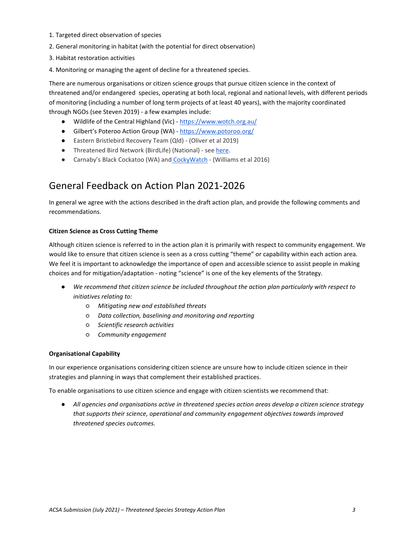- 1. Targeted direct observation of species
- 2. General monitoring in habitat (with the potential for direct observation)
- 3. Habitat restoration activities
- 4. Monitoring or managing the agent of decline for a threatened species.

There are numerous organisations or citizen science groups that pursue citizen science in the context of threatened and/or endangered species, operating at both local, regional and national levels, with different periods of monitoring (including a number of long term projects of at least 40 years), with the majority coordinated through NGOs (see Steven 2019) - a few examples include:

- Wildlife of the Central Highland (Vic) <https://www.wotch.org.au/>
- Gilbert's Poteroo Action Group (WA) <https://www.potoroo.org/>
- Eastern Bristlebird Recovery Team (Qld) (Oliver et al 2019)
- Threatened Bird Network (BirdLife) (National) se[e here.](https://www.birdlife.org.au/projects/threatened-bird-network#:%7E:text=The%20Threatened%20Bird%20Network%20is,conservation%20of%20our%20threatened%20birds.)
- Carnaby's Black Cockatoo (WA) and [CockyWatch](https://www.birdlife.org.au/projects/southwest-black-cockatoo-recovery/cockywatch) (Williams et al 2016)

# General Feedback on Action Plan 2021-2026

In general we agree with the actions described in the draft action plan, and provide the following comments and recommendations.

#### **Citizen Science as Cross Cutting Theme**

Although citizen science is referred to in the action plan it is primarily with respect to community engagement. We would like to ensure that citizen science is seen as a cross cutting "theme" or capability within each action area. We feel it is important to acknowledge the importance of open and accessible science to assist people in making choices and for mitigation/adaptation - noting "science" is one of the key elements of the Strategy.

- *We recommend that citizen science be included throughout the action plan particularly with respect to initiatives relating to:*
	- *Mitigating new and established threats*
	- *Data collection, baselining and monitoring and reporting*
	- *Scientific research activities*
	- *Community engagement*

#### **Organisational Capability**

In our experience organisations considering citizen science are unsure how to include citizen science in their strategies and planning in ways that complement their established practices.

To enable organisations to use citizen science and engage with citizen scientists we recommend that:

● *All agencies and organisations active in threatened species action areas develop a citizen science strategy that supports their science, operational and community engagement objectives towards improved threatened species outcomes.*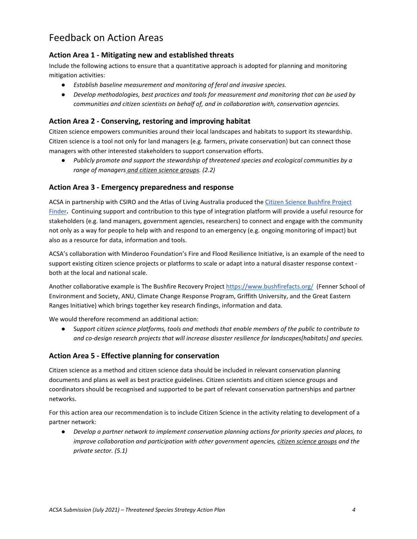# Feedback on Action Areas

### **Action Area 1 - Mitigating new and established threats**

Include the following actions to ensure that a quantitative approach is adopted for planning and monitoring mitigation activities:

- *Establish baseline measurement and monitoring of feral and invasive species.*
- *Develop methodologies, best practices and tools for measurement and monitoring that can be used by communities and citizen scientists on behalf of, and in collaboration with, conservation agencies.*

### **Action Area 2 - Conserving, restoring and improving habitat**

Citizen science empowers communities around their local landscapes and habitats to support its stewardship. Citizen science is a tool not only for land managers (e.g. farmers, private conservation) but can connect those managers with other interested stakeholders to support conservation efforts.

● *Publicly promote and support the stewardship of threatened species and ecological communities by a range of managers and citizen science groups. (2.2)*

### **Action Area 3 - Emergency preparedness and response**

ACSA in partnership with CSIRO and the Atlas of Living Australia produced th[e Citizen Science Bushfire Project](https://biocollect.ala.org.au/bushfire_recovery#isCitizenScience%3Dtrue%26max%3D20%26sort%3DdateCreatedSort)  [Finder](https://biocollect.ala.org.au/bushfire_recovery#isCitizenScience%3Dtrue%26max%3D20%26sort%3DdateCreatedSort)**.** Continuing support and contribution to this type of integration platform will provide a useful resource for stakeholders (e.g. land managers, government agencies, researchers) to connect and engage with the community not only as a way for people to help with and respond to an emergency (e.g. ongoing monitoring of impact) but also as a resource for data, information and tools.

ACSA's collaboration wit[h Minderoo Foundation's Fire and Flood](https://www.minderoo.org/fire-fund/wildfire-and-disaster-resilience-program/) Resilience Initiative, is an example of the need to support existing citizen science projects or platforms to scale or adapt into a natural disaster response context both at the local and national scale.

Another collaborative example is The Bushfire Recovery Project<https://www.bushfirefacts.org/>(Fenner School of Environment and Society, ANU, Climate Change Response Program, Griffith University, and the Great Eastern Ranges Initiative) which brings together key research findings, information and data.

We would therefore recommend an additional action:

● S*upport citizen science platforms, tools and methods that enable members of the public to contribute to and co-design research projects that will increase disaster resilience for landscapes[habitats] and species.*

### **Action Area 5 - Effective planning for conservation**

Citizen science as a method and citizen science data should be included in relevant conservation planning documents and plans as well as best practice guidelines. Citizen scientists and citizen science groups and coordinators should be recognised and supported to be part of relevant conservation partnerships and partner networks.

For this action area our recommendation is to include Citizen Science in the activity relating to development of a partner network:

● *Develop a partner network to implement conservation planning actions for priority species and places, to improve collaboration and participation with other government agencies, citizen science groups and the private sector. (5.1)*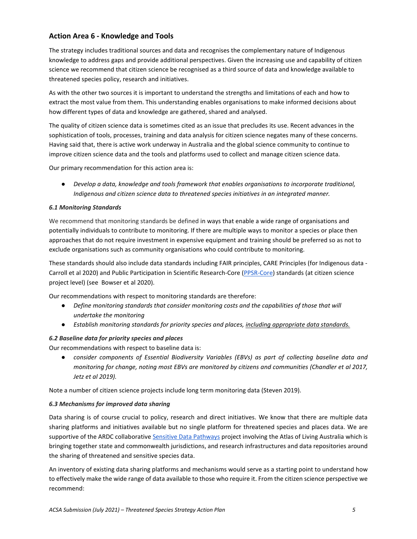### **Action Area 6 - Knowledge and Tools**

The strategy includes traditional sources and data and recognises the complementary nature of Indigenous knowledge to address gaps and provide additional perspectives. Given the increasing use and capability of citizen science we recommend that citizen science be recognised as a third source of data and knowledge available to threatened species policy, research and initiatives.

As with the other two sources it is important to understand the strengths and limitations of each and how to extract the most value from them. This understanding enables organisations to make informed decisions about how different types of data and knowledge are gathered, shared and analysed.

The quality of citizen science data is sometimes cited as an issue that precludes its use. Recent advances in the sophistication of tools, processes, training and data analysis for citizen science negates many of these concerns. Having said that, there is active work underway in Australia and the global science community to continue to improve citizen science data and the tools and platforms used to collect and manage citizen science data.

Our primary recommendation for this action area is:

● *Develop a data, knowledge and tools framework that enables organisations to incorporate traditional, Indigenous and citizen science data to threatened species initiatives in an integrated manner.*

#### *6.1 Monitoring Standards*

We recommend that monitoring standards be defined in ways that enable a wide range of organisations and potentially individuals to contribute to monitoring. If there are multiple ways to monitor a species or place then approaches that do not require investment in expensive equipment and training should be preferred so as not to exclude organisations such as community organisations who could contribute to monitoring.

These standards should also include data standards including FAIR principles, CARE Principles (for Indigenous data - Carroll et al 2020) and Public Participation in Scientific Research-Core [\(PPSR-Core\)](https://core.citizenscience.org/docs/contribute/) standards (at citizen science project level) (see Bowser et al 2020).

Our recommendations with respect to monitoring standards are therefore:

- *Define monitoring standards that consider monitoring costs and the capabilities of those that will undertake the monitoring*
- *Establish monitoring standards for priority species and places, including appropriate data standards.*

### *6.2 Baseline data for priority species and places*

Our recommendations with respect to baseline data is:

● *consider components of Essential Biodiversity Variables (EBVs) as part of collecting baseline data and monitoring for change, noting most EBVs are monitored by citizens and communities (Chandler et al 2017, Jetz et al 2019).* 

Note a number of citizen science projects include long term monitoring data (Steven 2019).

#### *6.3 Mechanisms for improved data sharing*

Data sharing is of course crucial to policy, research and direct initiatives. We know that there are multiple data sharing platforms and initiatives available but no single platform for threatened species and places data. We are supportive of the ARDC collaborativ[e Sensitive Data Pathways](https://www.ala.org.au/blogs-news/improving-access-to-sensitive-species-data/) project involving the Atlas of Living Australia which is bringing together state and commonwealth jurisdictions, and research infrastructures and data repositories around the sharing of threatened and sensitive species data.

An inventory of existing data sharing platforms and mechanisms would serve as a starting point to understand how to effectively make the wide range of data available to those who require it. From the citizen science perspective we recommend: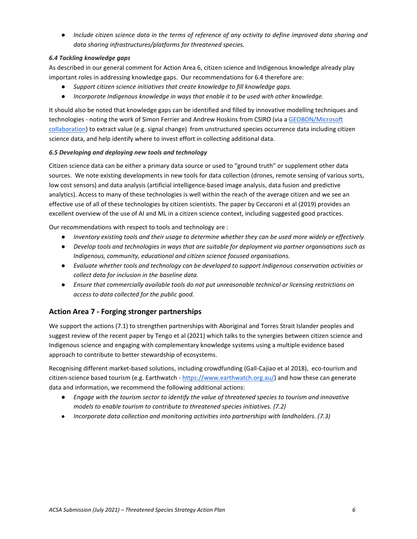● *Include citizen science data in the terms of reference of any activity to define improved data sharing and data sharing infrastructures/platforms for threatened species.*

#### *6.4 Tackling knowledge gaps*

As described in our general comment for Action Area 6, citizen science and Indigenous knowledge already play important roles in addressing knowledge gaps. Our recommendations for 6.4 therefore are:

- *Support citizen science initiatives that create knowledge to fill knowledge gaps.*
- *Incorporate Indigenous knowledge in ways that enable it to be used with other knowledge.*

It should also be noted that knowledge gaps can be identified and filled by innovative modelling techniques and technologies - noting the work of Simon Ferrier and Andrew Hoskins from CSIRO (via a GEOBON/Microsoft [collaboration\)](https://www.earthobservations.org/geo_blog_obs.php?id=470) to extract value (e.g. signal change) from unstructured species occurrence data including citizen science data, and help identify where to invest effort in collecting additional data.

#### *6.5 Developing and deploying new tools and technology*

Citizen science data can be either a primary data source or used to "ground truth" or supplement other data sources. We note existing developments in new tools for data collection (drones, remote sensing of various sorts, low cost sensors) and data analysis (artificial intelligence-based image analysis, data fusion and predictive analytics). Access to many of these technologies is well within the reach of the average citizen and we see an effective use of all of these technologies by citizen scientists. The paper by Ceccaroni et al (2019) provides an excellent overview of the use of AI and ML in a citizen science context, including suggested good practices.

Our recommendations with respect to tools and technology are :

- *Inventory existing tools and their usage to determine whether they can be used more widely or effectively.*
- *Develop tools and technologies in ways that are suitable for deployment via partner organisations such as Indigenous, community, educational and citizen science focused organisations.*
- *Evaluate whether tools and technology can be developed to support Indigenous conservation activities or collect data for inclusion in the baseline data.*
- *Ensure that commercially available tools do not put unreasonable technical or licensing restrictions on access to data collected for the public good.*

### **Action Area 7 - Forging stronger partnerships**

We support the actions (7.1) to strengthen partnerships with Aboriginal and Torres Strait Islander peoples and suggest review of the recent paper by Tengo et al (2021) which talks to the synergies between citizen science and Indigenous science and engaging with complementary knowledge systems using a multiple evidence based approach to contribute to better stewardship of ecosystems.

Recognising different market-based solutions, including crowdfunding (Gall-Cajiao et al 2018), eco-tourism and citizen-science based tourism (e.g. Earthwatch - [https://www.earthwatch.org.au/\)](https://www.earthwatch.org.au/) and how these can generate data and information, we recommend the following additional actions:

- *Engage with the tourism sector to identify the value of threatened species to tourism and innovative models to enable tourism to contribute to threatened species initiatives. (7.2)*
- *Incorporate data collection and monitoring activities into partnerships with landholders. (7.3)*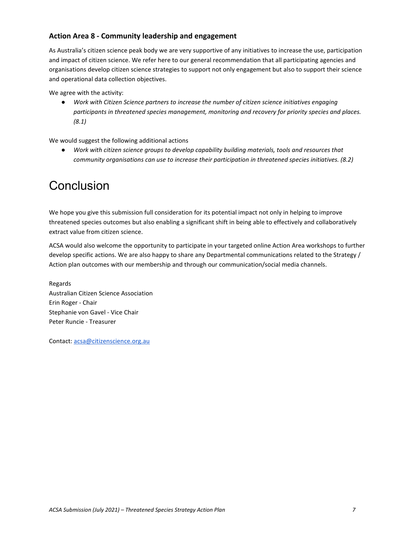## **Action Area 8 - Community leadership and engagement**

As Australia's citizen science peak body we are very supportive of any initiatives to increase the use, participation and impact of citizen science. We refer here to our general recommendation that all participating agencies and organisations develop citizen science strategies to support not only engagement but also to support their science and operational data collection objectives.

We agree with the activity:

● *Work with Citizen Science partners to increase the number of citizen science initiatives engaging participants in threatened species management, monitoring and recovery for priority species and places. (8.1)*

We would suggest the following additional actions

Work with citizen science groups to develop capability building materials, tools and resources that *community organisations can use to increase their participation in threatened species initiatives. (8.2)*

# **Conclusion**

We hope you give this submission full consideration for its potential impact not only in helping to improve threatened species outcomes but also enabling a significant shift in being able to effectively and collaboratively extract value from citizen science.

ACSA would also welcome the opportunity to participate in your targeted online Action Area workshops to further develop specific actions. We are also happy to share any Departmental communications related to the Strategy / Action plan outcomes with our membership and through our communication/social media channels.

Regards Australian Citizen Science Association Erin Roger - Chair Stephanie von Gavel - Vice Chair Peter Runcie - Treasurer

Contact[: acsa@citizenscience.org.au](mailto:acsa@citizenscience.org.au)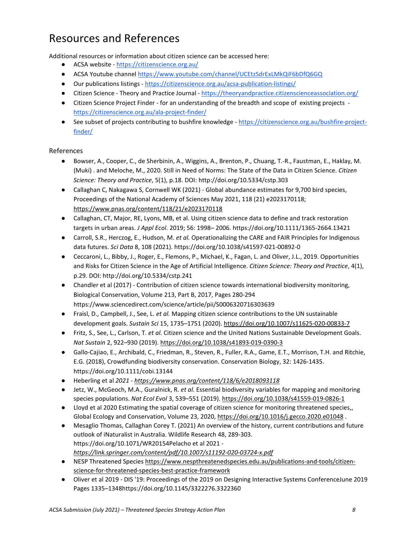# Resources and References

Additional resources or information about citizen science can be accessed here:

- ACSA website https://citizenscience.org.au/
- ACSA Youtube channel https://www.youtube.com/channel/UCEtzSdrExLMkQiF6bDfQ6GQ
- Our publications listings https://citizenscience.org.au/acsa-publication-listings/
- Citizen Science Theory and Practice Journal <https://theoryandpractice.citizenscienceassociation.org/>
- Citizen Science Project Finder for an understanding of the breadth and scope of existing projects <https://citizenscience.org.au/ala-project-finder/>
- See subset of projects contributing to bushfire knowledge [https://citizenscience.org.au/bushfire-project](https://citizenscience.org.au/bushfire-project-finder/)[finder/](https://citizenscience.org.au/bushfire-project-finder/)

### References

- Bowser, A., Cooper, C., de Sherbinin, A., Wiggins, A., Brenton, P., Chuang, T.-R., Faustman, E., Haklay, M. (Muki) . and Meloche, M., 2020. Still in Need of Norms: The State of the Data in Citizen Science. *Citizen Science: Theory and Practice*, 5(1), p.18. DOI[: http://doi.org/10.5334/cstp.303](http://doi.org/10.5334/cstp.303)
- Callaghan C, Nakagawa S, Cornwell WK (2021) Global abundance estimates for 9,700 bird species, Proceedings of the National Academy of Sciences May 2021, 118 (21) e2023170118; <https://www.pnas.org/content/118/21/e2023170118>
- Callaghan, CT, Major, RE, Lyons, MB, et al. Using citizen science data to define and track restoration targets in urban areas. *J Appl Ecol*. 2019; 56: 1998– 2006.<https://doi.org/10.1111/1365-2664.13421>
- Carroll, S.R., Herczog, E., Hudson, M. *et al.* Operationalizing the CARE and FAIR Principles for Indigenous data futures. *Sci Data* 8, 108 (2021). https://doi.org/10.1038/s41597-021-00892-0
- Ceccaroni, L., Bibby, J., Roger, E., Flemons, P., Michael, K., Fagan, L. and Oliver, J.L., 2019. Opportunities and Risks for Citizen Science in the Age of Artificial Intelligence. *Citizen Science: Theory and Practice*, 4(1), p.29. DOI:<http://doi.org/10.5334/cstp.241>
- Chandler et al (2017) Contribution of citizen science towards international biodiversity monitoring, Biological Conservation, Volume 213, Part B, 2017, Pages 280-294 <https://www.sciencedirect.com/science/article/pii/S0006320716303639>
- Fraisl, D., Campbell, J., See, L. *et al.* Mapping citizen science contributions to the UN sustainable development goals. *Sustain Sci* 15, 1735–1751 (2020).<https://doi.org/10.1007/s11625-020-00833-7>
- Fritz, S., See, L., Carlson, T. *et al.* Citizen science and the United Nations Sustainable Development Goals. *Nat Sustain* 2, 922–930 (2019)[. https://doi.org/10.1038/s41893-019-0390-3](https://doi.org/10.1038/s41893-019-0390-3)
- Gallo-Cajiao, E., Archibald, C., Friedman, R., Steven, R., Fuller, R.A., Game, E.T., Morrison, T.H. and Ritchie, E.G. (2018), Crowdfunding biodiversity conservation. Conservation Biology, 32: 1426-1435. <https://doi.org/10.1111/cobi.13144>
- Heberling et al *2021 - [https://www.pnas.org/content/118/6/e2018093118](https://www.pnas.org/content/118/6/e2018093118%20%202)*
- Jetz, W., McGeoch, M.A., Guralnick, R. *et al.* Essential biodiversity variables for mapping and monitoring species populations. *Nat Ecol Evol* 3, 539–551 (2019).<https://doi.org/10.1038/s41559-019-0826-1>
- Lloyd et al 2020 Estimating the spatial coverage of citizen science for monitoring threatened species,, Global Ecology and Conservation, Volume 23, 2020[, https://doi.org/10.1016/j.gecco.2020.e01048](https://doi.org/10.1016/j.gecco.2020.e01048) .
- Mesaglio Thomas, Callaghan Corey T. (2021) An overview of the history, current contributions and future outlook of iNaturalist in Australia. Wildlife Research 48, 289-303. https://doi.org/10.1071/WR20154Pelacho et al 2021 *<https://link.springer.com/content/pdf/10.1007/s11192-020-03724-x.pdf>*
- NESP Threatened Species [https://www.nespthreatenedspecies.edu.au/publications-and-tools/citizen](https://www.nespthreatenedspecies.edu.au/publications-and-tools/citizen-science-for-threatened-species-best-practice-framework)[science-for-threatened-species-best-practice-framework](https://www.nespthreatenedspecies.edu.au/publications-and-tools/citizen-science-for-threatened-species-best-practice-framework)
- Oliver et al 2019 [DIS '19: Proceedings of the 2019 on Designing Interactive Systems ConferenceJ](https://dl.acm.org/doi/proceedings/10.1145/3322276)une 2019 Pages 1335–134[8https://doi.org/10.1145/3322276.3322360](https://doi.org/10.1145/3322276.3322360)